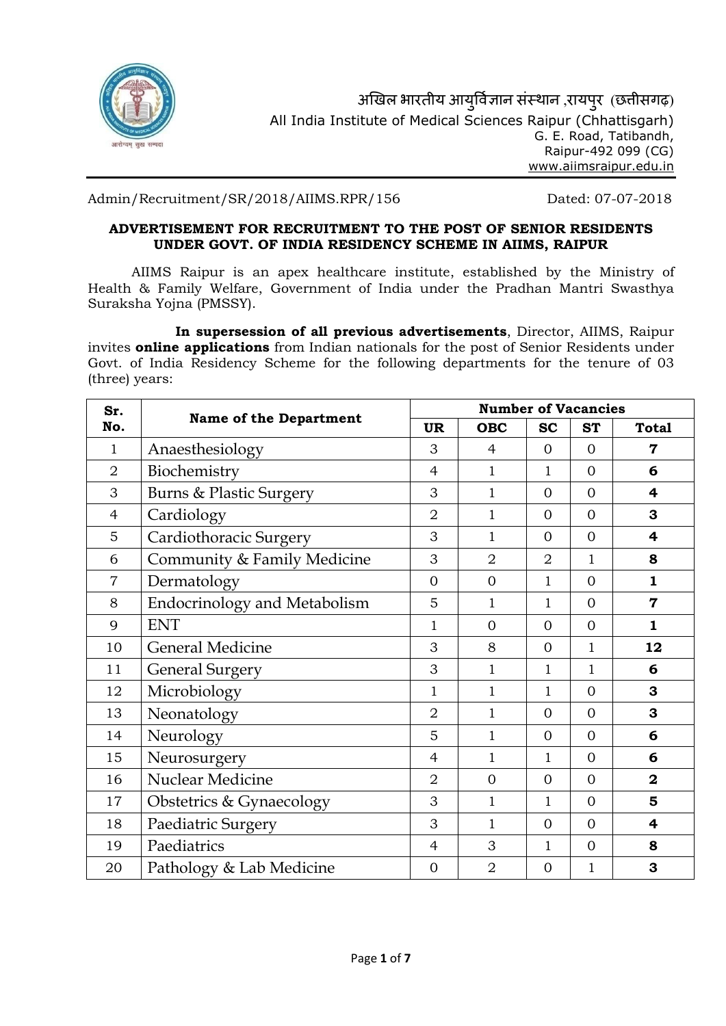

Admin/Recruitment/SR/2018/AIIMS.RPR/156 Dated: 07-07-2018

# ADVERTISEMENT FOR RECRUITMENT TO THE POST OF SENIOR RESIDENTS UNDER GOVT. OF INDIA RESIDENCY SCHEME IN AIIMS, RAIPUR

AIIMS Raipur is an apex healthcare institute, established by the Ministry of Health & Family Welfare, Government of India under the Pradhan Mantri Swasthya Suraksha Yojna (PMSSY).

In supersession of all previous advertisements, Director, AIIMS, Raipur invites **online applications** from Indian nationals for the post of Senior Residents under Govt. of India Residency Scheme for the following departments for the tenure of 03 (three) years:

| Sr.<br>No.     | <b>Name of the Department</b>       | <b>Number of Vacancies</b> |                |                |                                     |                         |  |
|----------------|-------------------------------------|----------------------------|----------------|----------------|-------------------------------------|-------------------------|--|
|                |                                     |                            | <b>OBC</b>     | <b>SC</b>      | <b>ST</b>                           | <b>Total</b>            |  |
| $\mathbf{1}$   | Anaesthesiology                     | 3                          | 4              | $\Omega$       | $\Omega$                            | 7                       |  |
| $\overline{2}$ | Biochemistry                        | $\overline{4}$             | $\mathbf{1}$   | 1              | $\Omega$                            | 6                       |  |
| 3              | <b>Burns &amp; Plastic Surgery</b>  | 3                          | $\mathbf{1}$   | $\overline{0}$ | $\overline{0}$                      | $\overline{\mathbf{4}}$ |  |
| $\overline{4}$ | Cardiology                          | $\overline{2}$             | $\mathbf{1}$   | $\overline{0}$ | $\overline{0}$<br>3                 |                         |  |
| 5              | Cardiothoracic Surgery              | 3                          | $\mathbf{1}$   | $\Omega$       | $\Omega$<br>$\overline{\mathbf{4}}$ |                         |  |
| 6              | Community & Family Medicine         | 3                          | $\overline{2}$ | $\overline{2}$ | $\mathbf{1}$                        | 8                       |  |
| $\overline{7}$ | Dermatology                         | $\overline{0}$             | $\overline{0}$ | 1              | $\overline{0}$                      | $\mathbf{1}$            |  |
| 8              | <b>Endocrinology and Metabolism</b> | 5                          | $\mathbf{1}$   | 1              | $\Omega$                            | $\mathbf 7$             |  |
| 9              | <b>ENT</b>                          | $\mathbf{1}$               | $\overline{0}$ | $\overline{0}$ | $\overline{0}$                      | $\mathbf{1}$            |  |
| 10             | <b>General Medicine</b>             | 3                          | 8              | $\overline{0}$ | $\mathbf{1}$                        | 12                      |  |
| 11             | <b>General Surgery</b>              | 3                          | $\mathbf{1}$   | 1              | $\mathbf{1}$                        | 6                       |  |
| 12             | Microbiology                        | 1                          | $\mathbf{1}$   | 1              | $\Omega$                            | 3                       |  |
| 13             | Neonatology                         | $\overline{2}$             | $\mathbf{1}$   | $\overline{0}$ | $\overline{0}$                      | 3                       |  |
| 14             | Neurology                           | 5                          | $\mathbf{1}$   | $\Omega$       | $\overline{0}$                      | 6                       |  |
| 15             | Neurosurgery                        | $\overline{4}$             | $\mathbf{1}$   | 1              | $\overline{0}$                      | 6                       |  |
| 16             | <b>Nuclear Medicine</b>             |                            | $\overline{0}$ | $\overline{0}$ | $\overline{0}$                      | $\mathbf{2}$            |  |
| 17             | Obstetrics & Gynaecology            | 3                          | $\mathbf{1}$   | 1              | $\overline{0}$                      | 5                       |  |
| 18             | Paediatric Surgery                  | 3                          | $\mathbf{1}$   | $\Omega$       | $\overline{0}$                      | 4                       |  |
| 19             | Paediatrics                         | $\overline{4}$             | 3              | 1              | $\overline{0}$                      | 8                       |  |
| 20             | Pathology & Lab Medicine            | $\overline{0}$             | $\overline{2}$ | $\overline{0}$ | $\mathbf{1}$                        | 3                       |  |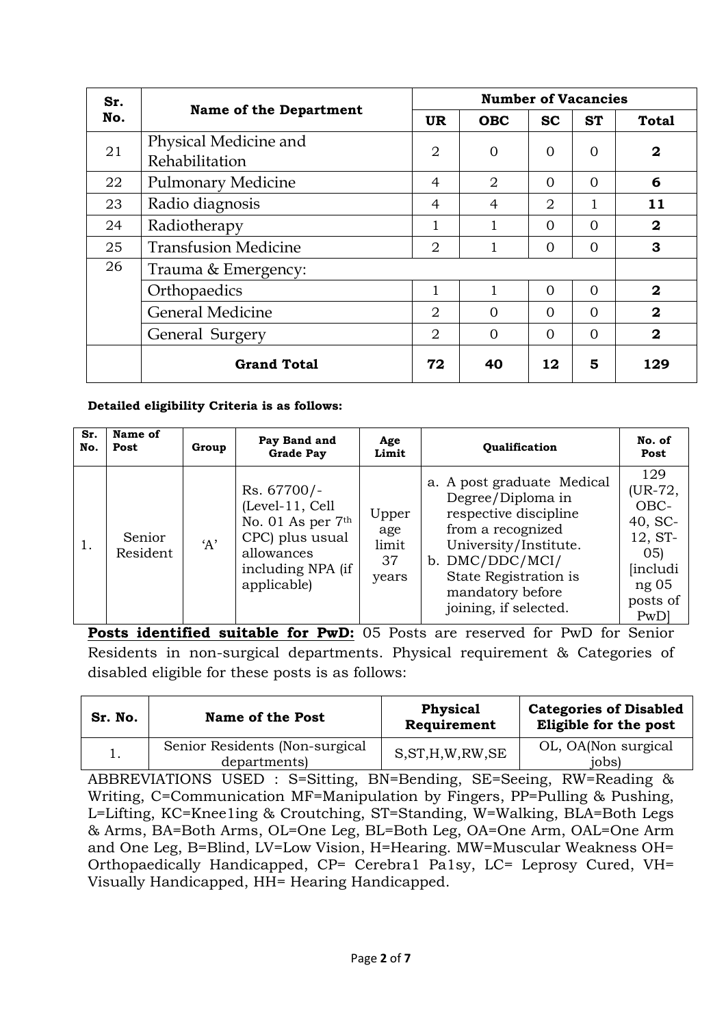| Sr.<br>No. |                                         | <b>Number of Vacancies</b> |                |           |           |              |
|------------|-----------------------------------------|----------------------------|----------------|-----------|-----------|--------------|
|            | <b>Name of the Department</b>           |                            | <b>OBC</b>     | <b>SC</b> | <b>ST</b> | <b>Total</b> |
| 21         | Physical Medicine and<br>Rehabilitation | $\overline{2}$             | $\Omega$       | $\Omega$  | $\Omega$  | $\mathbf{2}$ |
| 22         | <b>Pulmonary Medicine</b>               | $\overline{4}$             | $\overline{2}$ | $\Omega$  | $\Omega$  | 6            |
| 23         | Radio diagnosis                         | 4                          | $\overline{4}$ | 2         |           | 11           |
| 24         | Radiotherapy                            | 1                          | 1              | $\Omega$  | $\Omega$  | $\mathbf{2}$ |
| 25         | <b>Transfusion Medicine</b>             | 2                          |                | $\Omega$  | $\Omega$  | 3            |
| 26         | Trauma & Emergency:                     |                            |                |           |           |              |
|            | Orthopaedics                            | 1                          |                | $\Omega$  | $\Omega$  | $\mathbf{2}$ |
|            | <b>General Medicine</b>                 | $\overline{2}$             | $\Omega$       | $\Omega$  | $\Omega$  | $\mathbf{2}$ |
|            | General Surgery                         | 2                          | $\Omega$       | $\Omega$  | $\Omega$  | $\mathbf{2}$ |
|            | <b>Grand Total</b>                      | 72                         | 40             | 12        | 5         | 129          |

# Detailed eligibility Criteria is as follows:

| Sr.<br>No. | Name of<br>Post    | Group | Pay Band and<br><b>Grade Pay</b>                                                                                         | Age<br>Limit                         | <b>Oualification</b>                                                                                                                                                                                            | No. of<br>Post                                                                              |
|------------|--------------------|-------|--------------------------------------------------------------------------------------------------------------------------|--------------------------------------|-----------------------------------------------------------------------------------------------------------------------------------------------------------------------------------------------------------------|---------------------------------------------------------------------------------------------|
| 1.         | Senior<br>Resident | A'    | Rs. 67700/-<br>(Level-11, Cell<br>No. 01 As per 7th<br>CPC) plus usual<br>allowances<br>including NPA (if<br>applicable) | Upper<br>age<br>limit<br>37<br>years | a. A post graduate Medical<br>Degree/Diploma in<br>respective discipline<br>from a recognized<br>University/Institute.<br>b. DMC/DDC/MCI/<br>State Registration is<br>mandatory before<br>joining, if selected. | 129<br>(UR-72,<br>OBC-<br>$40, SC-$<br>12, ST-<br>05<br>includi<br>ng 05<br>posts of<br>PwD |

Posts identified suitable for PwD: 05 Posts are reserved for PwD for Senior Residents in non-surgical departments. Physical requirement & Categories of disabled eligible for these posts is as follows:

| Sr. No. | <b>Name of the Post</b>                        | <b>Physical</b><br>Requirement | <b>Categories of Disabled</b><br>Eligible for the post |
|---------|------------------------------------------------|--------------------------------|--------------------------------------------------------|
|         | Senior Residents (Non-surgical<br>departments) | S, ST, H, W, RW, SE            | OL, OA(Non surgical<br>jobs)                           |

ABBREVIATIONS USED : S=Sitting, BN=Bending, SE=Seeing, RW=Reading & Writing, C=Communication MF=Manipulation by Fingers, PP=Pulling & Pushing, L=Lifting, KC=Knee1ing & Croutching, ST=Standing, W=Walking, BLA=Both Legs & Arms, BA=Both Arms, OL=One Leg, BL=Both Leg, OA=One Arm, OAL=One Arm and One Leg, B=Blind, LV=Low Vision, H=Hearing. MW=Muscular Weakness OH= Orthopaedically Handicapped, CP= Cerebra1 Pa1sy, LC= Leprosy Cured, VH= Visually Handicapped, HH= Hearing Handicapped.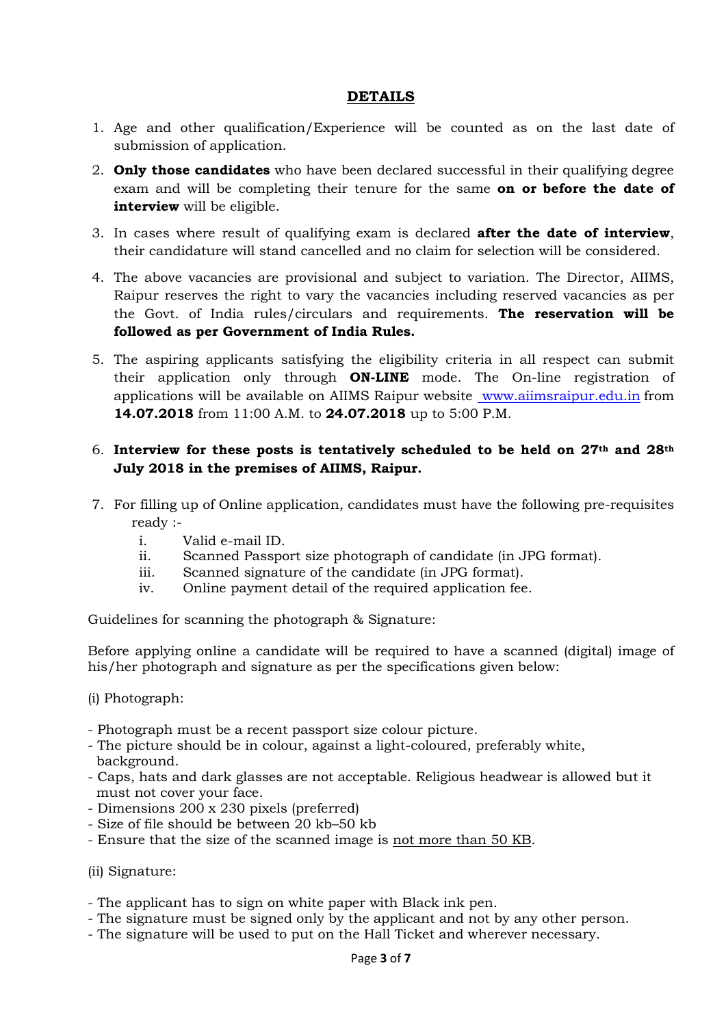# DETAILS

- 1. Age and other qualification/Experience will be counted as on the last date of submission of application.
- 2. **Only those candidates** who have been declared successful in their qualifying degree exam and will be completing their tenure for the same on or before the date of interview will be eligible.
- 3. In cases where result of qualifying exam is declared after the date of interview, their candidature will stand cancelled and no claim for selection will be considered.
- 4. The above vacancies are provisional and subject to variation. The Director, AIIMS, Raipur reserves the right to vary the vacancies including reserved vacancies as per the Govt. of India rules/circulars and requirements. The reservation will be followed as per Government of India Rules.
- 5. The aspiring applicants satisfying the eligibility criteria in all respect can submit their application only through **ON-LINE** mode. The On-line registration of applications will be available on AIIMS Raipur website www.aiimsraipur.edu.in from 14.07.2018 from 11:00 A.M. to 24.07.2018 up to 5:00 P.M.

# 6. Interview for these posts is tentatively scheduled to be held on  $27<sup>th</sup>$  and  $28<sup>th</sup>$ July 2018 in the premises of AIIMS, Raipur.

- 7. For filling up of Online application, candidates must have the following pre-requisites ready :
	- i. Valid e-mail ID.
	- ii. Scanned Passport size photograph of candidate (in JPG format).
	- iii. Scanned signature of the candidate (in JPG format).
	- iv. Online payment detail of the required application fee.

Guidelines for scanning the photograph & Signature:

Before applying online a candidate will be required to have a scanned (digital) image of his/her photograph and signature as per the specifications given below:

(i) Photograph:

- Photograph must be a recent passport size colour picture.
- The picture should be in colour, against a light-coloured, preferably white, background.
- Caps, hats and dark glasses are not acceptable. Religious headwear is allowed but it must not cover your face.
- Dimensions 200 x 230 pixels (preferred)
- Size of file should be between 20 kb–50 kb
- Ensure that the size of the scanned image is not more than 50 KB.

(ii) Signature:

- The applicant has to sign on white paper with Black ink pen.
- The signature must be signed only by the applicant and not by any other person.
- The signature will be used to put on the Hall Ticket and wherever necessary.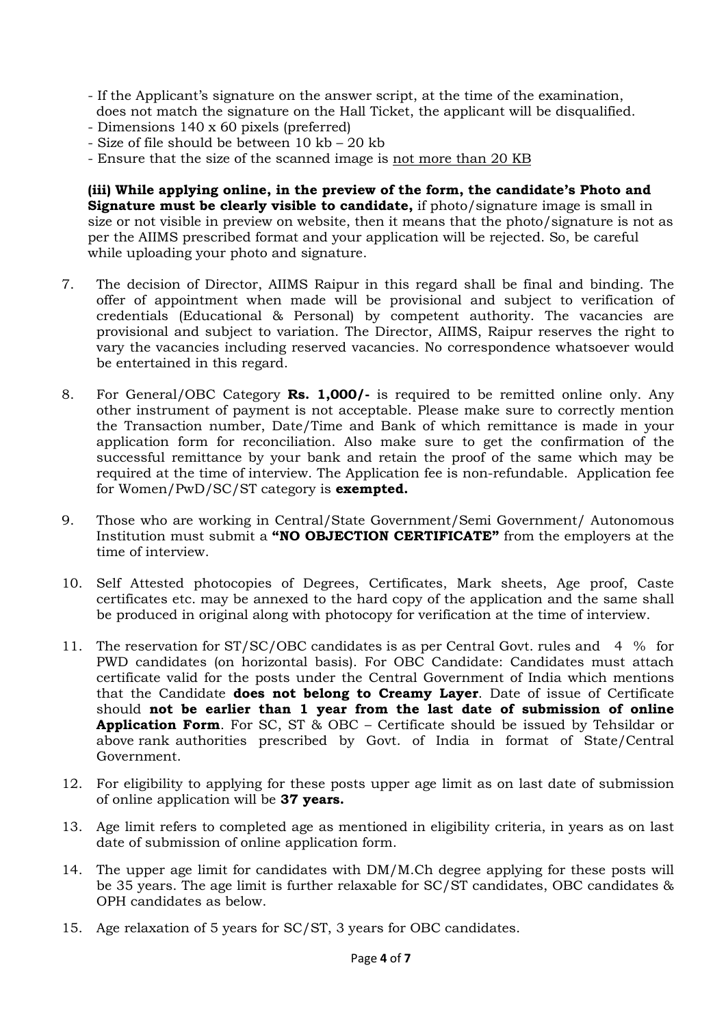- If the Applicant's signature on the answer script, at the time of the examination, does not match the signature on the Hall Ticket, the applicant will be disqualified.
- Dimensions 140 x 60 pixels (preferred)
- Size of file should be between 10 kb 20 kb
- Ensure that the size of the scanned image is not more than 20 KB

(iii) While applying online, in the preview of the form, the candidate's Photo and Signature must be clearly visible to candidate, if photo/signature image is small in size or not visible in preview on website, then it means that the photo/signature is not as per the AIIMS prescribed format and your application will be rejected. So, be careful while uploading your photo and signature.

- 7. The decision of Director, AIIMS Raipur in this regard shall be final and binding. The offer of appointment when made will be provisional and subject to verification of credentials (Educational & Personal) by competent authority. The vacancies are provisional and subject to variation. The Director, AIIMS, Raipur reserves the right to vary the vacancies including reserved vacancies. No correspondence whatsoever would be entertained in this regard.
- 8. For General/OBC Category Rs. 1,000/- is required to be remitted online only. Any other instrument of payment is not acceptable. Please make sure to correctly mention the Transaction number, Date/Time and Bank of which remittance is made in your application form for reconciliation. Also make sure to get the confirmation of the successful remittance by your bank and retain the proof of the same which may be required at the time of interview. The Application fee is non-refundable. Application fee for Women/PwD/SC/ST category is **exempted.**
- 9. Those who are working in Central/State Government/Semi Government/ Autonomous Institution must submit a "NO OBJECTION CERTIFICATE" from the employers at the time of interview.
- 10. Self Attested photocopies of Degrees, Certificates, Mark sheets, Age proof, Caste certificates etc. may be annexed to the hard copy of the application and the same shall be produced in original along with photocopy for verification at the time of interview.
- 11. The reservation for ST/SC/OBC candidates is as per Central Govt. rules and 4 % for PWD candidates (on horizontal basis). For OBC Candidate: Candidates must attach certificate valid for the posts under the Central Government of India which mentions that the Candidate **does not belong to Creamy Layer**. Date of issue of Certificate should not be earlier than 1 year from the last date of submission of online Application Form. For SC, ST & OBC - Certificate should be issued by Tehsildar or above rank authorities prescribed by Govt. of India in format of State/Central Government.
- 12. For eligibility to applying for these posts upper age limit as on last date of submission of online application will be 37 years.
- 13. Age limit refers to completed age as mentioned in eligibility criteria, in years as on last date of submission of online application form.
- 14. The upper age limit for candidates with DM/M.Ch degree applying for these posts will be 35 years. The age limit is further relaxable for SC/ST candidates, OBC candidates & OPH candidates as below.
- 15. Age relaxation of 5 years for SC/ST, 3 years for OBC candidates.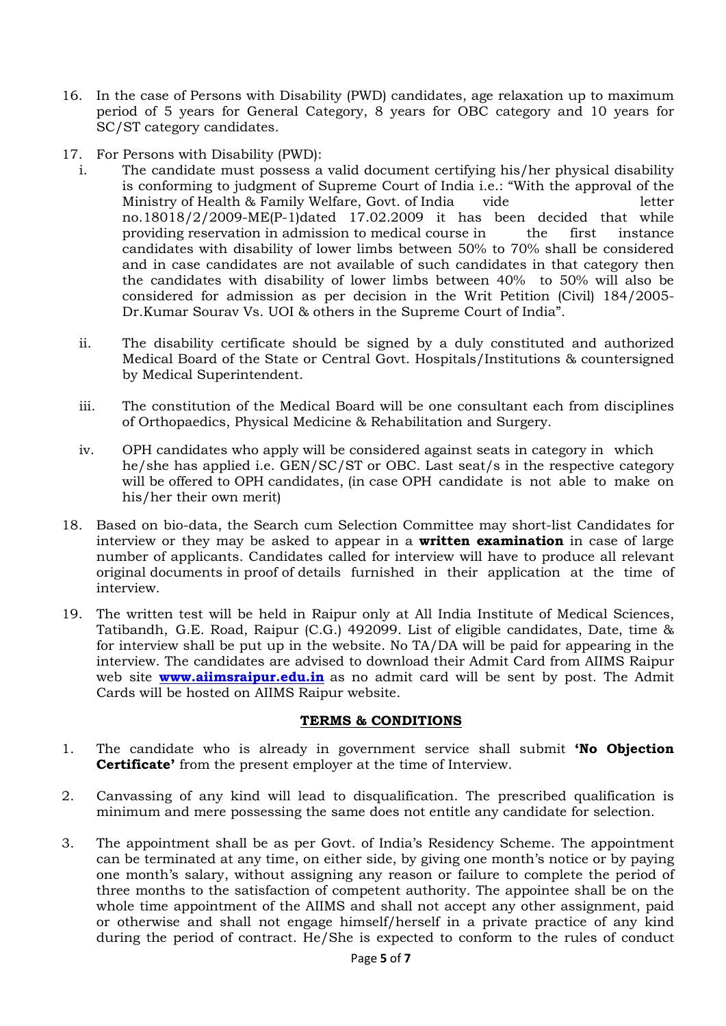- 16. In the case of Persons with Disability (PWD) candidates, age relaxation up to maximum period of 5 years for General Category, 8 years for OBC category and 10 years for SC/ST category candidates.
- 17. For Persons with Disability (PWD):
	- i. The candidate must possess a valid document certifying his/her physical disability is conforming to judgment of Supreme Court of India i.e.: "With the approval of the Ministry of Health & Family Welfare, Govt. of India vide letter no.18018/2/2009-ME(P-1)dated 17.02.2009 it has been decided that while providing reservation in admission to medical course in the first instance candidates with disability of lower limbs between 50% to 70% shall be considered and in case candidates are not available of such candidates in that category then the candidates with disability of lower limbs between 40% to 50% will also be considered for admission as per decision in the Writ Petition (Civil) 184/2005- Dr.Kumar Sourav Vs. UOI & others in the Supreme Court of India".
	- ii. The disability certificate should be signed by a duly constituted and authorized Medical Board of the State or Central Govt. Hospitals/Institutions & countersigned by Medical Superintendent.
	- iii. The constitution of the Medical Board will be one consultant each from disciplines of Orthopaedics, Physical Medicine & Rehabilitation and Surgery.
	- iv. OPH candidates who apply will be considered against seats in category in which he/she has applied i.e. GEN/SC/ST or OBC. Last seat/s in the respective category will be offered to OPH candidates, (in case OPH candidate is not able to make on his/her their own merit)
- 18. Based on bio-data, the Search cum Selection Committee may short-list Candidates for interview or they may be asked to appear in a **written examination** in case of large number of applicants. Candidates called for interview will have to produce all relevant original documents in proof of details furnished in their application at the time of interview.
- 19. The written test will be held in Raipur only at All India Institute of Medical Sciences, Tatibandh, G.E. Road, Raipur (C.G.) 492099. List of eligible candidates, Date, time & for interview shall be put up in the website. No TA/DA will be paid for appearing in the interview. The candidates are advised to download their Admit Card from AIIMS Raipur web site **www.aiimsraipur.edu.in** as no admit card will be sent by post. The Admit Cards will be hosted on AIIMS Raipur website.

#### TERMS & CONDITIONS

- 1. The candidate who is already in government service shall submit 'No Objection Certificate' from the present employer at the time of Interview.
- 2. Canvassing of any kind will lead to disqualification. The prescribed qualification is minimum and mere possessing the same does not entitle any candidate for selection.
- 3. The appointment shall be as per Govt. of India's Residency Scheme. The appointment can be terminated at any time, on either side, by giving one month's notice or by paying one month's salary, without assigning any reason or failure to complete the period of three months to the satisfaction of competent authority. The appointee shall be on the whole time appointment of the AIIMS and shall not accept any other assignment, paid or otherwise and shall not engage himself/herself in a private practice of any kind during the period of contract. He/She is expected to conform to the rules of conduct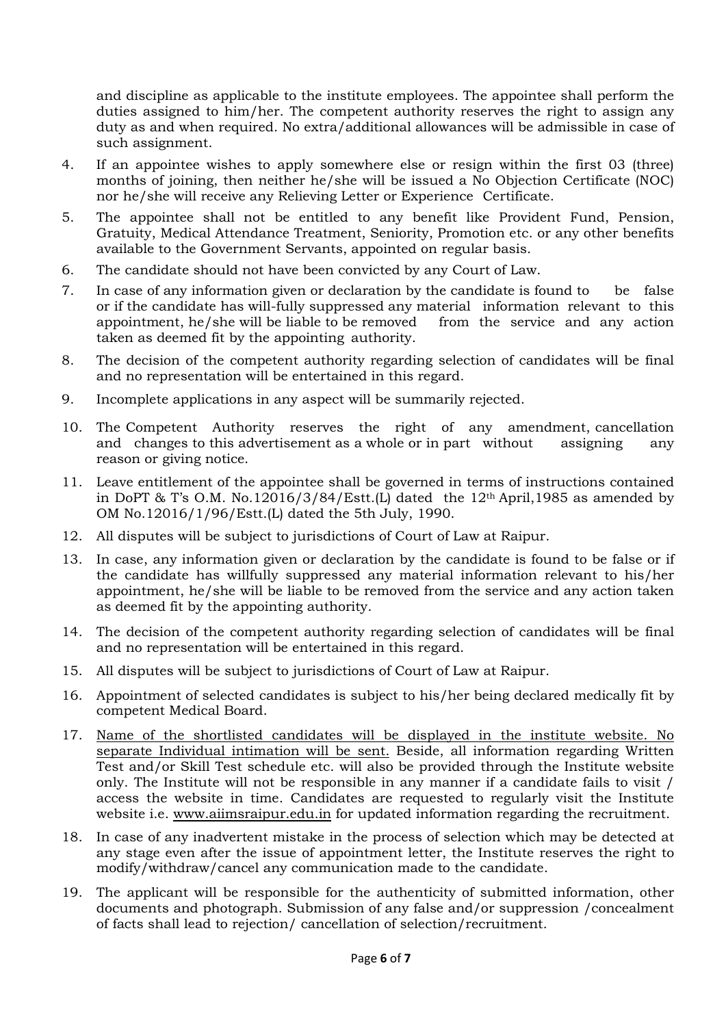and discipline as applicable to the institute employees. The appointee shall perform the duties assigned to him/her. The competent authority reserves the right to assign any duty as and when required. No extra/additional allowances will be admissible in case of such assignment.

- 4. If an appointee wishes to apply somewhere else or resign within the first 03 (three) months of joining, then neither he/she will be issued a No Objection Certificate (NOC) nor he/she will receive any Relieving Letter or Experience Certificate.
- 5. The appointee shall not be entitled to any benefit like Provident Fund, Pension, Gratuity, Medical Attendance Treatment, Seniority, Promotion etc. or any other benefits available to the Government Servants, appointed on regular basis.
- 6. The candidate should not have been convicted by any Court of Law.
- 7. In case of any information given or declaration by the candidate is found to be false or if the candidate has will-fully suppressed any material information relevant to this appointment, he/she will be liable to be removed from the service and any action taken as deemed fit by the appointing authority.
- 8. The decision of the competent authority regarding selection of candidates will be final and no representation will be entertained in this regard.
- 9. Incomplete applications in any aspect will be summarily rejected.
- 10. The Competent Authority reserves the right of any amendment, cancellation and changes to this advertisement as a whole or in part without assigning any reason or giving notice.
- 11. Leave entitlement of the appointee shall be governed in terms of instructions contained in DoPT & T's O.M. No.12016/3/84/Estt.(L) dated the  $12<sup>th</sup>$  April,1985 as amended by OM No.12016/1/96/Estt.(L) dated the 5th July, 1990.
- 12. All disputes will be subject to jurisdictions of Court of Law at Raipur.
- 13. In case, any information given or declaration by the candidate is found to be false or if the candidate has willfully suppressed any material information relevant to his/her appointment, he/she will be liable to be removed from the service and any action taken as deemed fit by the appointing authority.
- 14. The decision of the competent authority regarding selection of candidates will be final and no representation will be entertained in this regard.
- 15. All disputes will be subject to jurisdictions of Court of Law at Raipur.
- 16. Appointment of selected candidates is subject to his/her being declared medically fit by competent Medical Board.
- 17. Name of the shortlisted candidates will be displayed in the institute website. No separate Individual intimation will be sent. Beside, all information regarding Written Test and/or Skill Test schedule etc. will also be provided through the Institute website only. The Institute will not be responsible in any manner if a candidate fails to visit / access the website in time. Candidates are requested to regularly visit the Institute website i.e. www.aiimsraipur.edu.in for updated information regarding the recruitment.
- 18. In case of any inadvertent mistake in the process of selection which may be detected at any stage even after the issue of appointment letter, the Institute reserves the right to modify/withdraw/cancel any communication made to the candidate.
- 19. The applicant will be responsible for the authenticity of submitted information, other documents and photograph. Submission of any false and/or suppression /concealment of facts shall lead to rejection/ cancellation of selection/recruitment.